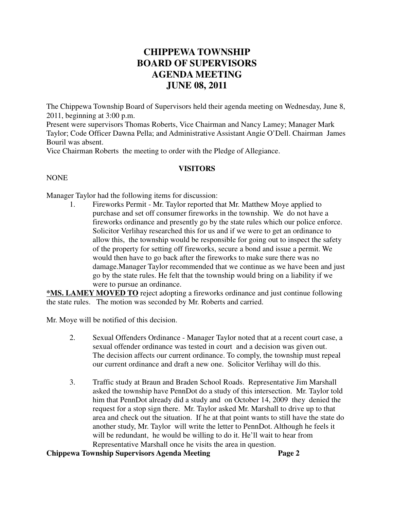# **CHIPPEWA TOWNSHIP BOARD OF SUPERVISORS AGENDA MEETING JUNE 08, 2011**

The Chippewa Township Board of Supervisors held their agenda meeting on Wednesday, June 8, 2011, beginning at 3:00 p.m.

Present were supervisors Thomas Roberts, Vice Chairman and Nancy Lamey; Manager Mark Taylor; Code Officer Dawna Pella; and Administrative Assistant Angie O'Dell. Chairman James Bouril was absent.

Vice Chairman Roberts the meeting to order with the Pledge of Allegiance.

### **VISITORS**

### NONE

Manager Taylor had the following items for discussion:

1. Fireworks Permit - Mr. Taylor reported that Mr. Matthew Moye applied to purchase and set off consumer fireworks in the township. We do not have a fireworks ordinance and presently go by the state rules which our police enforce. Solicitor Verlihay researched this for us and if we were to get an ordinance to allow this, the township would be responsible for going out to inspect the safety of the property for setting off fireworks, secure a bond and issue a permit. We would then have to go back after the fireworks to make sure there was no damage.Manager Taylor recommended that we continue as we have been and just go by the state rules. He felt that the township would bring on a liability if we were to pursue an ordinance.

**\*MS. LAMEY MOVED TO** reject adopting a fireworks ordinance and just continue following the state rules. The motion was seconded by Mr. Roberts and carried.

Mr. Moye will be notified of this decision.

- 2. Sexual Offenders Ordinance Manager Taylor noted that at a recent court case, a sexual offender ordinance was tested in court and a decision was given out. The decision affects our current ordinance. To comply, the township must repeal our current ordinance and draft a new one. Solicitor Verlihay will do this.
- 3. Traffic study at Braun and Braden School Roads. Representative Jim Marshall asked the township have PennDot do a study of this intersection. Mr. Taylor told him that PennDot already did a study and on October 14, 2009 they denied the request for a stop sign there. Mr. Taylor asked Mr. Marshall to drive up to that area and check out the situation. If he at that point wants to still have the state do another study, Mr. Taylor will write the letter to PennDot. Although he feels it will be redundant, he would be willing to do it. He'll wait to hear from Representative Marshall once he visits the area in question.

## **Chippewa Township Supervisors Agenda Meeting Page 2**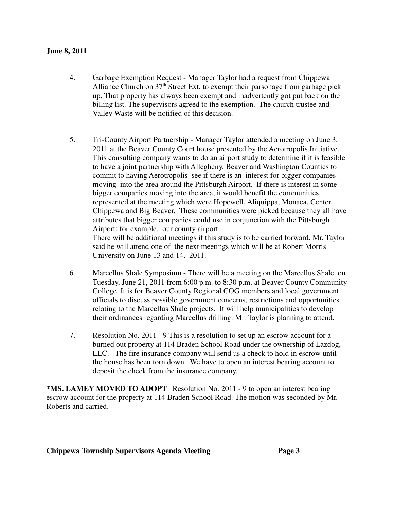### **June 8, 2011**

- 4. Garbage Exemption Request Manager Taylor had a request from Chippewa Alliance Church on  $37<sup>th</sup>$  Street Ext. to exempt their parsonage from garbage pick up. That property has always been exempt and inadvertently got put back on the billing list. The supervisors agreed to the exemption. The church trustee and Valley Waste will be notified of this decision.
- 5. Tri-County Airport Partnership Manager Taylor attended a meeting on June 3, 2011 at the Beaver County Court house presented by the Aerotropolis Initiative. This consulting company wants to do an airport study to determine if it is feasible to have a joint partnership with Allegheny, Beaver and Washington Counties to commit to having Aerotropolis see if there is an interest for bigger companies moving into the area around the Pittsburgh Airport. If there is interest in some bigger companies moving into the area, it would benefit the communities represented at the meeting which were Hopewell, Aliquippa, Monaca, Center, Chippewa and Big Beaver. These communities were picked because they all have attributes that bigger companies could use in conjunction with the Pittsburgh Airport; for example, our county airport. There will be additional meetings if this study is to be carried forward. Mr. Taylor

said he will attend one of the next meetings which will be at Robert Morris University on June 13 and 14, 2011.

- 6. Marcellus Shale Symposium There will be a meeting on the Marcellus Shale on Tuesday, June 21, 2011 from 6:00 p.m. to 8:30 p.m. at Beaver County Community College. It is for Beaver County Regional COG members and local government officials to discuss possible government concerns, restrictions and opportunities relating to the Marcellus Shale projects. It will help municipalities to develop their ordinances regarding Marcellus drilling. Mr. Taylor is planning to attend.
- 7. Resolution No. 2011 9 This is a resolution to set up an escrow account for a burned out property at 114 Braden School Road under the ownership of Lazdog, LLC. The fire insurance company will send us a check to hold in escrow until the house has been torn down. We have to open an interest bearing account to deposit the check from the insurance company.

**\*MS. LAMEY MOVED TO ADOPT** Resolution No. 2011 - 9 to open an interest bearing escrow account for the property at 114 Braden School Road. The motion was seconded by Mr. Roberts and carried.